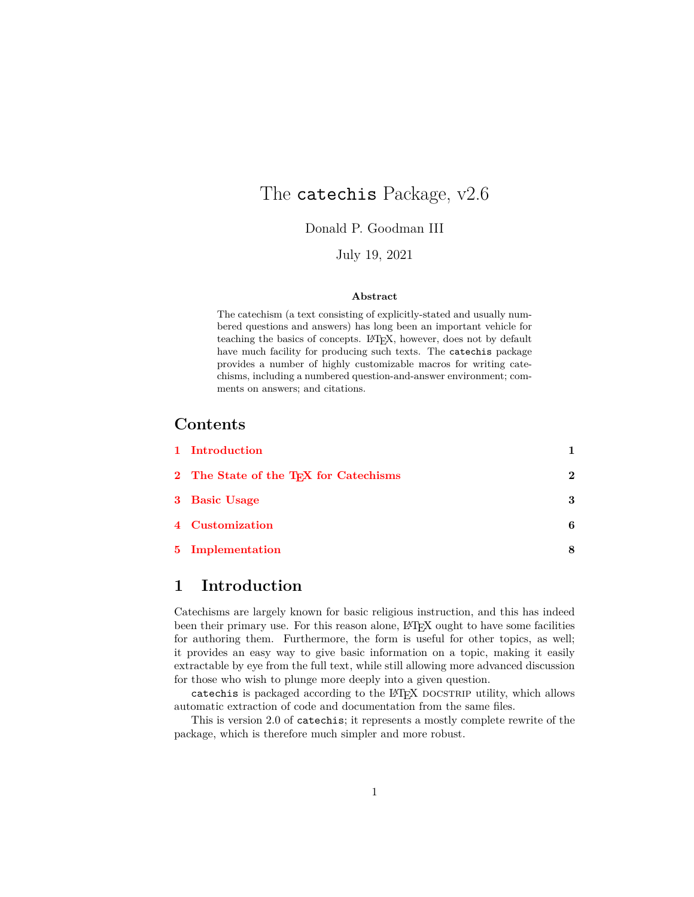# The catechis Package, v2.6

Donald P. Goodman III

July 19, 2021

#### **Abstract**

The catechism (a text consisting of explicitly-stated and usually numbered questions and answers) has long been an important vehicle for teaching the basics of concepts. LAT<sub>E</sub>X, however, does not by default have much facility for producing such texts. The catechis package provides a number of highly customizable macros for writing catechisms, including a numbered question-and-answer environment; comments on answers; and citations.

### **Contents**

| 1 Introduction                                     |              |
|----------------------------------------------------|--------------|
| 2 The State of the T <sub>F</sub> X for Catechisms | $\mathbf{2}$ |
| 3 Basic Usage                                      | 3            |
| 4 Customization                                    | 6            |
| 5 Implementation                                   |              |

### <span id="page-0-0"></span>**1 Introduction**

Catechisms are largely known for basic religious instruction, and this has indeed been their primary use. For this reason alone, LATEX ought to have some facilities for authoring them. Furthermore, the form is useful for other topics, as well; it provides an easy way to give basic information on a topic, making it easily extractable by eye from the full text, while still allowing more advanced discussion for those who wish to plunge more deeply into a given question.

catechis is packaged according to the LAT<sub>EX</sub> DOCSTRIP utility, which allows automatic extraction of code and documentation from the same files.

This is version 2.0 of catechis; it represents a mostly complete rewrite of the package, which is therefore much simpler and more robust.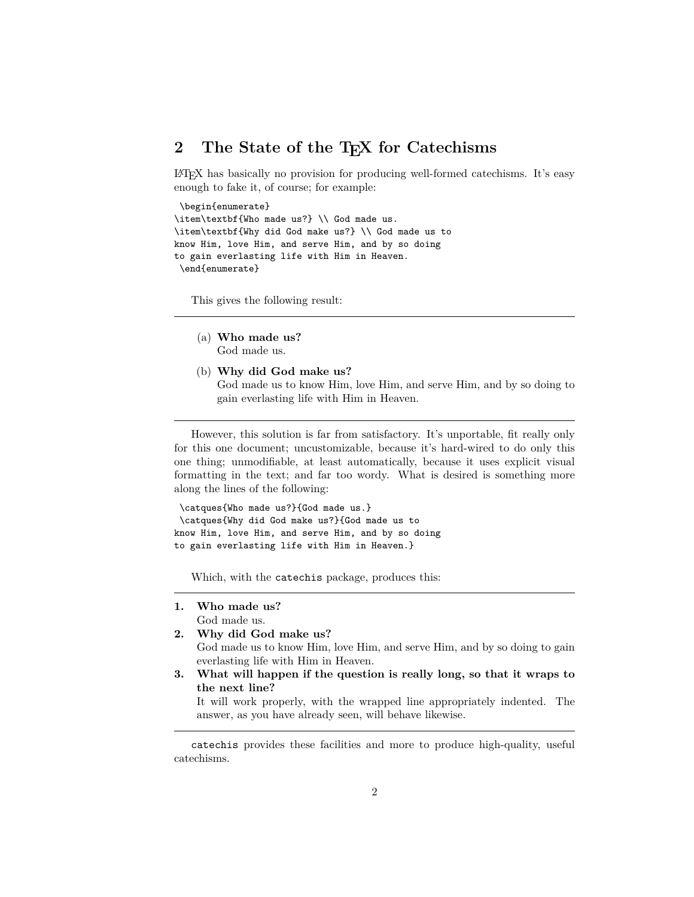### <span id="page-1-0"></span>2 The State of the T<sub>E</sub>X for Catechisms

LATEX has basically no provision for producing well-formed catechisms. It's easy enough to fake it, of course; for example:

```
\begin{enumerate}
\item\textbf{Who made us?} \\ God made us.
\item\textbf{Why did God make us?} \\ God made us to
know Him, love Him, and serve Him, and by so doing
to gain everlasting life with Him in Heaven.
 \end{enumerate}
```
This gives the following result:

- (a) **Who made us?** God made us.
- (b) **Why did God make us?** God made us to know Him, love Him, and serve Him, and by so doing to gain everlasting life with Him in Heaven.

However, this solution is far from satisfactory. It's unportable, fit really only for this one document; uncustomizable, because it's hard-wired to do only this one thing; unmodifiable, at least automatically, because it uses explicit visual formatting in the text; and far too wordy. What is desired is something more along the lines of the following:

```
\catques{Who made us?}{God made us.}
\catques{Why did God make us?}{God made us to
know Him, love Him, and serve Him, and by so doing
to gain everlasting life with Him in Heaven.}
```
Which, with the catechis package, produces this:

- **1. Who made us?** God made us.
- **2. Why did God make us?** God made us to know Him, love Him, and serve Him, and by so doing to gain everlasting life with Him in Heaven.
- **3. What will happen if the question is really long, so that it wraps to the next line?**

It will work properly, with the wrapped line appropriately indented. The answer, as you have already seen, will behave likewise.

catechis provides these facilities and more to produce high-quality, useful catechisms.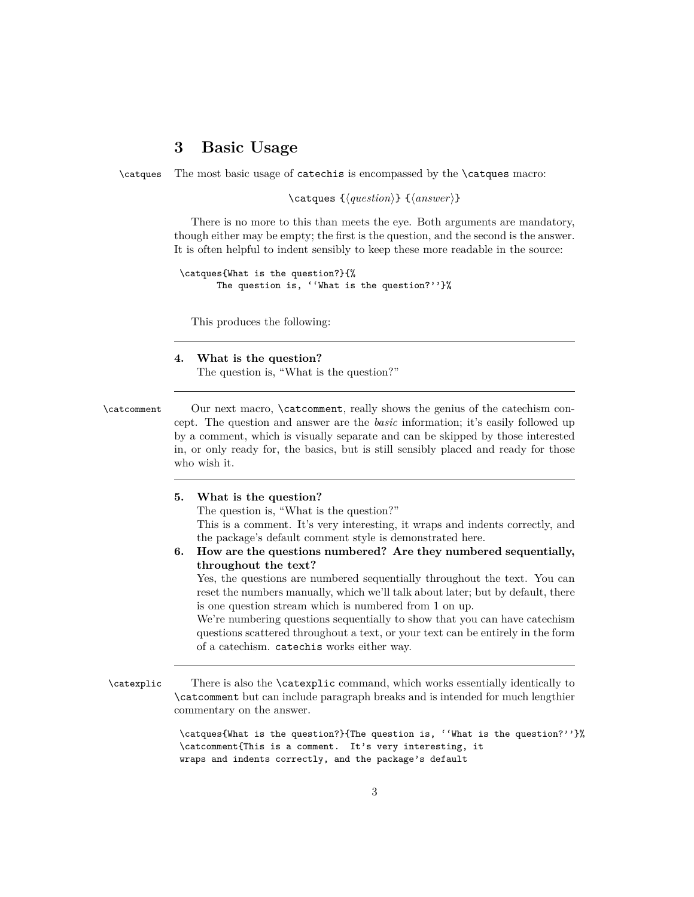### <span id="page-2-0"></span>**3 Basic Usage**

\catques The most basic usage of catechis is encompassed by the \catques macro:

 $\text{lambda} \left\{ \text{question} \right\}$  { $\text{answer}$ }

There is no more to this than meets the eye. Both arguments are mandatory, though either may be empty; the first is the question, and the second is the answer. It is often helpful to indent sensibly to keep these more readable in the source:

```
\catques{What is the question?}{%
       The question is, ''What is the question?''}%
```
This produces the following:

**4. What is the question?**

The question is, "What is the question?"

\catcomment Our next macro, \catcomment, really shows the genius of the catechism concept. The question and answer are the *basic* information; it's easily followed up by a comment, which is visually separate and can be skipped by those interested in, or only ready for, the basics, but is still sensibly placed and ready for those who wish it.

#### **5. What is the question?**

The question is, "What is the question?"

This is a comment. It's very interesting, it wraps and indents correctly, and the package's default comment style is demonstrated here.

**6. How are the questions numbered? Are they numbered sequentially, throughout the text?**

Yes, the questions are numbered sequentially throughout the text. You can reset the numbers manually, which we'll talk about later; but by default, there is one question stream which is numbered from 1 on up.

We're numbering questions sequentially to show that you can have catechism questions scattered throughout a text, or your text can be entirely in the form of a catechism. catechis works either way.

\catexplic There is also the \catexplic command, which works essentially identically to \catcomment but can include paragraph breaks and is intended for much lengthier commentary on the answer.

> \catques{What is the question?}{The question is, ''What is the question?''}% \catcomment{This is a comment. It's very interesting, it wraps and indents correctly, and the package's default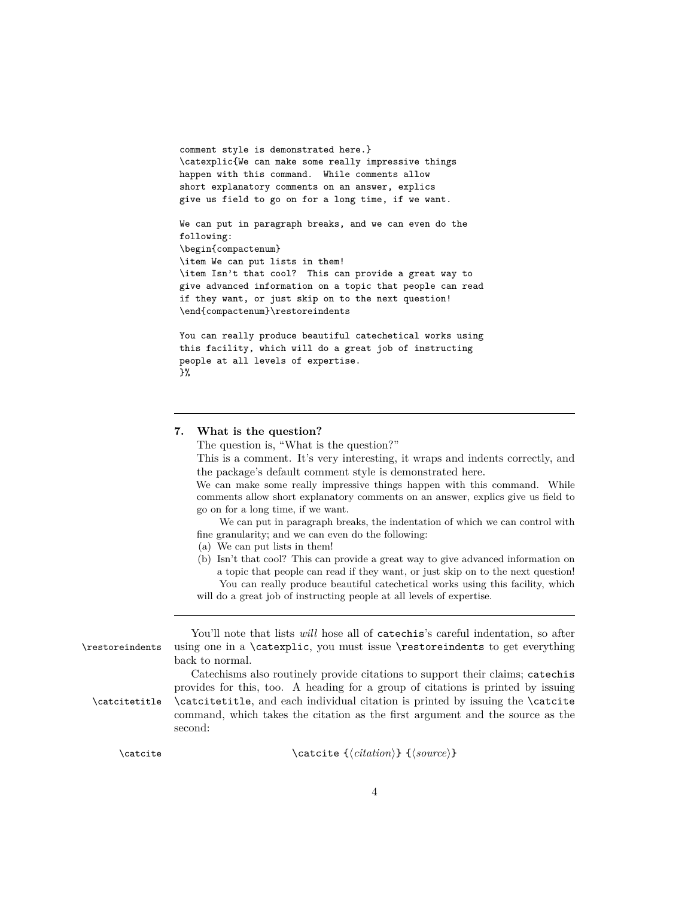```
comment style is demonstrated here.}
\catexplic{We can make some really impressive things
happen with this command. While comments allow
short explanatory comments on an answer, explics
give us field to go on for a long time, if we want.
We can put in paragraph breaks, and we can even do the
following:
\begin{compactenum}
\item We can put lists in them!
\item Isn't that cool? This can provide a great way to
give advanced information on a topic that people can read
if they want, or just skip on to the next question!
\end{compactenum}\restoreindents
You can really produce beautiful catechetical works using
this facility, which will do a great job of instructing
people at all levels of expertise.
```

```
}%
```
#### **7. What is the question?**

The question is, "What is the question?"

This is a comment. It's very interesting, it wraps and indents correctly, and the package's default comment style is demonstrated here.

We can make some really impressive things happen with this command. While comments allow short explanatory comments on an answer, explics give us field to go on for a long time, if we want.

We can put in paragraph breaks, the indentation of which we can control with fine granularity; and we can even do the following:

- (a) We can put lists in them!
- (b) Isn't that cool? This can provide a great way to give advanced information on a topic that people can read if they want, or just skip on to the next question! You can really produce beautiful catechetical works using this facility, which will do a great job of instructing people at all levels of expertise.

You'll note that lists *will* hose all of catechis's careful indentation, so after \restoreindents using one in a \catexplic, you must issue \restoreindents to get everything back to normal. Catechisms also routinely provide citations to support their claims; catechis provides for this, too. A heading for a group of citations is printed by issuing \catcitetitle \catcitetitle, and each individual citation is printed by issuing the \catcite command, which takes the citation as the first argument and the source as the second:

\catcite \catcite { $\langle$ *citation*} { $\langle$ *source*}}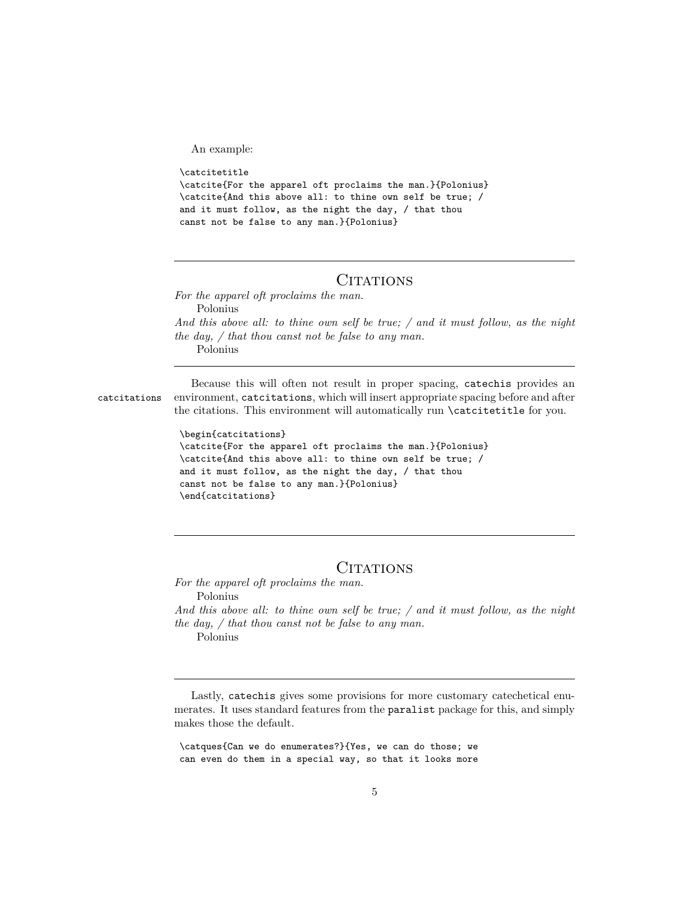An example:

```
\catcitetitle
\catcite{For the apparel oft proclaims the man.}{Polonius}
\catcite{And this above all: to thine own self be true; /
and it must follow, as the night the day, / that thou
canst not be false to any man.}{Polonius}
```
### CITATIONS

*For the apparel oft proclaims the man.* Polonius *And this above all: to thine own self be true; / and it must follow, as the night the day, / that thou canst not be false to any man.* Polonius

Because this will often not result in proper spacing, catechis provides an catcitations environment, catcitations, which will insert appropriate spacing before and after the citations. This environment will automatically run \catcitetitle for you.

```
\begin{catcitations}
\catcite{For the apparel oft proclaims the man.}{Polonius}
\catcite{And this above all: to thine own self be true; /
and it must follow, as the night the day, / that thou
canst not be false to any man.}{Polonius}
\end{catcitations}
```
### **CITATIONS**

*For the apparel oft proclaims the man.* Polonius *And this above all: to thine own self be true; / and it must follow, as the night the day, / that thou canst not be false to any man.* Polonius

Lastly, catechis gives some provisions for more customary catechetical enumerates. It uses standard features from the paralist package for this, and simply makes those the default.

\catques{Can we do enumerates?}{Yes, we can do those; we can even do them in a special way, so that it looks more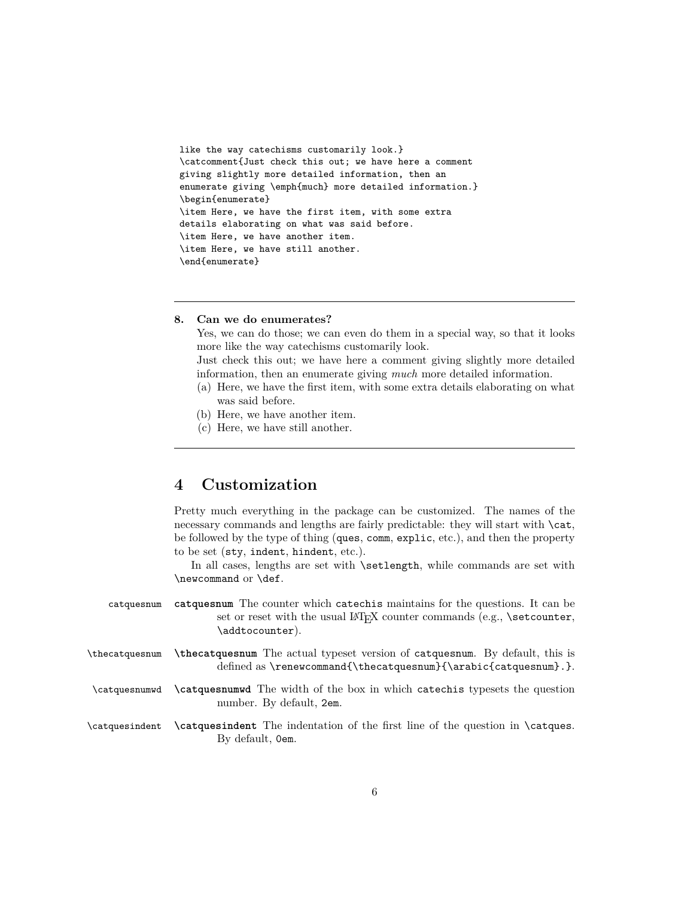```
like the way catechisms customarily look.}
\catcomment{Just check this out; we have here a comment
giving slightly more detailed information, then an
enumerate giving \emph{much} more detailed information.}
\begin{enumerate}
\item Here, we have the first item, with some extra
details elaborating on what was said before.
\item Here, we have another item.
\item Here, we have still another.
\end{enumerate}
```
#### **8. Can we do enumerates?**

Yes, we can do those; we can even do them in a special way, so that it looks more like the way catechisms customarily look.

Just check this out; we have here a comment giving slightly more detailed information, then an enumerate giving *much* more detailed information.

- (a) Here, we have the first item, with some extra details elaborating on what was said before.
- (b) Here, we have another item.
- (c) Here, we have still another.

### <span id="page-5-0"></span>**4 Customization**

Pretty much everything in the package can be customized. The names of the necessary commands and lengths are fairly predictable: they will start with  $\text{cat}$ , be followed by the type of thing (ques, comm, explic, etc.), and then the property to be set (sty, indent, hindent, etc.).

In all cases, lengths are set with **\setlength**, while commands are set with \newcommand or \def.

- catquesnum **catquesnum** The counter which catechis maintains for the questions. It can be set or reset with the usual LAT<sub>E</sub>X counter commands (e.g.,  $\setminus$  set counter, \addtocounter).
- \thecatquesnum **\thecatquesnum** The actual typeset version of catquesnum. By default, this is defined as \renewcommand{\thecatquesnum}{\arabic{catquesnum}.}.
- \catquesnumwd **\catquesnumwd** The width of the box in which catechis typesets the question number. By default, 2em.

\catquesindent **\catquesindent** The indentation of the first line of the question in \catques. By default, 0em.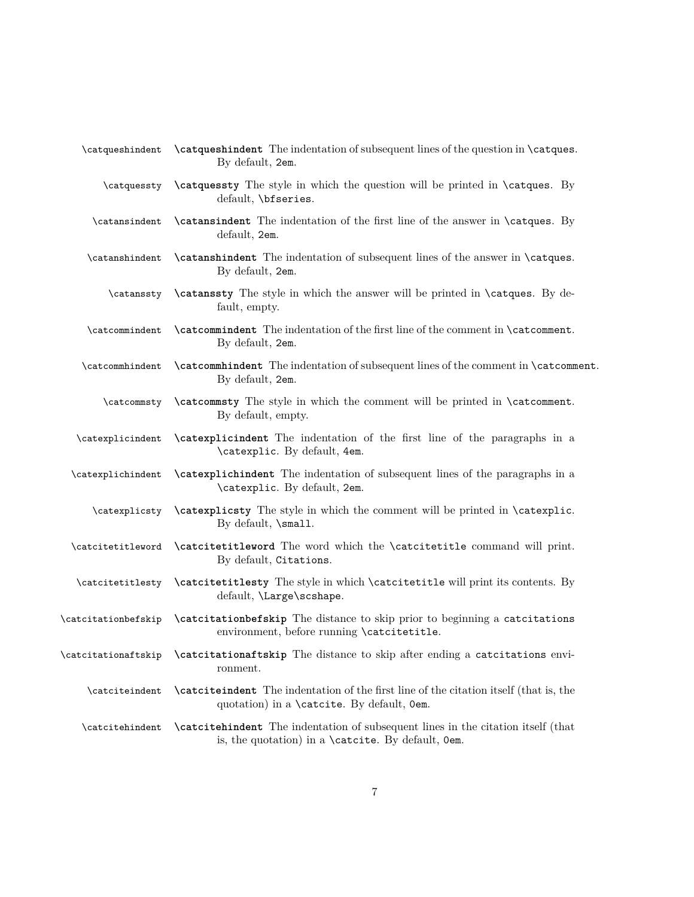| \catqueshindent     | <b>\catqueshindent</b> The indentation of subsequent lines of the question in <b>\catques</b> .<br>By default, 2em.                           |
|---------------------|-----------------------------------------------------------------------------------------------------------------------------------------------|
| \catquessty         | <b>\catquessty</b> The style in which the question will be printed in <b>\catques</b> . By<br>default, \bfseries.                             |
| \catansindent       | <b>\catansindent</b> The indentation of the first line of the answer in <b>\catques</b> . By<br>default, 2em.                                 |
| \catanshindent      | <b>\catanshindent</b> The indentation of subsequent lines of the answer in <b>\catques</b> .<br>By default, 2em.                              |
| \catanssty          | <b>\catanssty</b> The style in which the answer will be printed in <b>\catques</b> . By de-<br>fault, empty.                                  |
| \catcommindent      | <b>\catcommindent</b> The indentation of the first line of the comment in <b>\catcomment</b> .<br>By default, 2em.                            |
| \catcommhindent     | <b>\catcommhindent</b> The indentation of subsequent lines of the comment in <b>\catcomment</b> .<br>By default, 2em.                         |
| \catcommsty         | <b>\catcommsty</b> The style in which the comment will be printed in <b>\catcomment</b> .<br>By default, empty.                               |
| \catexplicindent    | <b>\catexplicindent</b> The indentation of the first line of the paragraphs in a<br>\catexplic. By default, 4em.                              |
| \catexplichindent   | <b>\catexplichindent</b> The indentation of subsequent lines of the paragraphs in a<br>\catexplic. By default, 2em.                           |
| \catexplicsty       | \catexplicsty The style in which the comment will be printed in \catexplic.<br>By default, \small.                                            |
| \catcitetitleword   | <b>\catcitetitleword</b> The word which the <b>\catcitetitle</b> command will print.<br>By default, Citations.                                |
| \catcitetitlesty    | <b>\catcitetitlesty</b> The style in which <b>\catcitetitle</b> will print its contents. By<br>default, <i>\Large</i> \scshape.               |
| \catcitationbefskip | <b>\catcitationbefskip</b> The distance to skip prior to beginning a catcitations<br>environment, before running \catcitetitle.               |
| \catcitationaftskip | <b>\catcitationaftskip</b> The distance to skip after ending a catcitations envi-<br>ronment.                                                 |
| \catciteindent      | <b>\catciteindent</b> The indentation of the first line of the citation itself (that is, the<br>quotation) in a \catcite. By default, Oem.    |
| \catcitehindent     | <b>\catcitehindent</b> The indentation of subsequent lines in the citation itself (that<br>is, the quotation) in a \catcite. By default, Oem. |
|                     |                                                                                                                                               |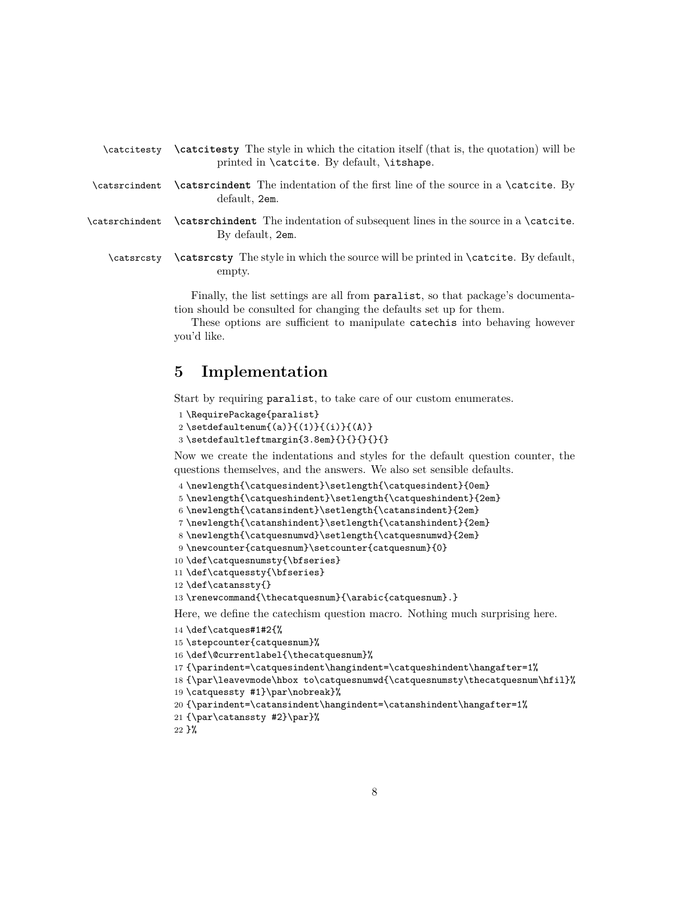<span id="page-7-1"></span>

|                                            | \catcitesty \catcitesty The style in which the citation itself (that is, the quotation) will be |  |  |
|--------------------------------------------|-------------------------------------------------------------------------------------------------|--|--|
| printed in \catcite. By default, \itshape. |                                                                                                 |  |  |

- \catsrcindent **\catsrcindent** The indentation of the first line of the source in a \catcite. By default, 2em.
- \catsrchindent **\catsrchindent** The indentation of subsequent lines in the source in a \catcite. By default, 2em.
	- \catsrcsty **\catsrcsty** The style in which the source will be printed in \catcite. By default, empty.

Finally, the list settings are all from paralist, so that package's documentation should be consulted for changing the defaults set up for them.

These options are sufficient to manipulate catechis into behaving however you'd like.

### <span id="page-7-0"></span>**5 Implementation**

Start by requiring paralist, to take care of our custom enumerates.

```
1 \RequirePackage{paralist}
```

```
2 \setdefaultenum{(a)}{(1)}{(i)}{(A)}
```

```
3 \setminus \set{3} \setdefaultleftmargin{3.8em}{}{}{}{}{}
```
Now we create the indentations and styles for the default question counter, the questions themselves, and the answers. We also set sensible defaults.

```
4 \newlength{\catquesindent}\setlength{\catquesindent}{0em}
```

```
5 \newlength{\catqueshindent}\setlength{\catqueshindent}{2em}
```

```
6 \newlength{\catansindent}\setlength{\catansindent}{2em}
```
7 \newlength{\catanshindent}\setlength{\catanshindent}{2em}

```
8 \newlength{\catquesnumwd}\setlength{\catquesnumwd}{2em}
```

```
9 \newcounter{catquesnum}\setcounter{catquesnum}{0}
```

```
10 \def\catquesnumsty{\bfseries}
```

```
11 \def\catquessty{\bfseries}
```

```
12 \def\catanssty{}
```
13 \renewcommand{\thecatquesnum}{\arabic{catquesnum}.}

Here, we define the catechism question macro. Nothing much surprising here.

```
14 \def\catques#1#2{%
```

```
15 \stepcounter{catquesnum}%
```

```
16 \def\@currentlabel{\thecatquesnum}%
```

```
17 {\parindent=\catquesindent\hangindent=\catqueshindent\hangafter=1%
```

```
18 {\par\leavevmode\hbox to\catquesnumwd{\catquesnumsty\thecatquesnum\hfil}%
```

```
19 \catquessty #1}\par\nobreak}%
```

```
20 {\partial t} \text{\parindent=\catansindent\hangindent=\catanshindent\hangafter=1%
```

```
21 {\par\catanssty #2}\par}%
```

```
22 }%
```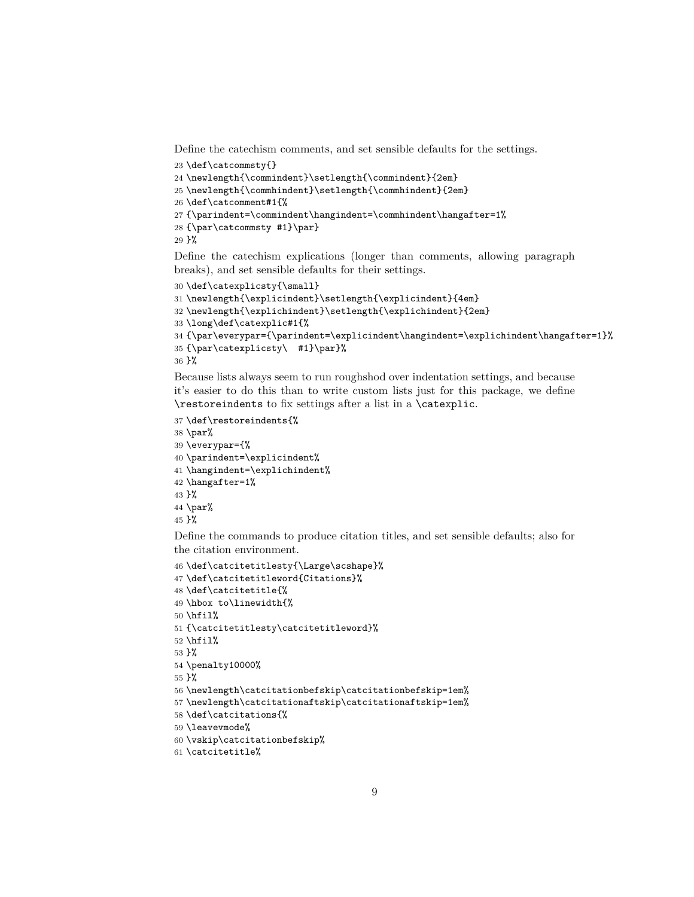<span id="page-8-0"></span>Define the catechism comments, and set sensible defaults for the settings.

```
23 \def\catcommsty{}
24 \newlength{\commindent}\setlength{\commindent}{2em}
25 \newlength{\commhindent}\setlength{\commhindent}{2em}
26 \def\catcomment#1{%
27 {\parindent=\commindent\hangindent=\commhindent\hangafter=1%
28 {\par\catcommsty #1}\par}
29 }%
```
Define the catechism explications (longer than comments, allowing paragraph breaks), and set sensible defaults for their settings.

```
30 \def\catexplicsty{\small}
31 \newlength{\explicindent}\setlength{\explicindent}{4em}
32 \newlength{\explichindent}\setlength{\explichindent}{2em}
33 \long\def\catexplic#1{%
34 {\par\everypar={\parindent=\explicindent\hangindent=\explichindent\hangafter=1}%
35 {\par\catexplicsty\ #1}\par}%
36 }%
```
Because lists always seem to run roughshod over indentation settings, and because it's easier to do this than to write custom lists just for this package, we define \restoreindents to fix settings after a list in a \catexplic.

```
37 \def\restoreindents{%
38 \par%
39 \everypar={%
40 \parindent=\explicindent%
41 \hangindent=\explichindent%
42 \hangafter=1%
43 }%
44 \par%
45 }%
```
Define the commands to produce citation titles, and set sensible defaults; also for the citation environment.

```
46 \def\catcitetitlesty{\Large\scshape}%
47 \def\catcitetitleword{Citations}%
48 \def\catcitetitle{%
49 \hbox to\linewidth{%
50 \hfil%
51 {\catcitetitlesty\catcitetitleword}%
52 \hfil%
53 }%
54 \penalty10000%
55 }%
56 \newlength\catcitationbefskip\catcitationbefskip=1em%
57 \newlength\catcitationaftskip\catcitationaftskip=1em%
58 \def\catcitations{%
59 \leavevmode%
60 \vskip\catcitationbefskip%
61 \catcitetitle%
```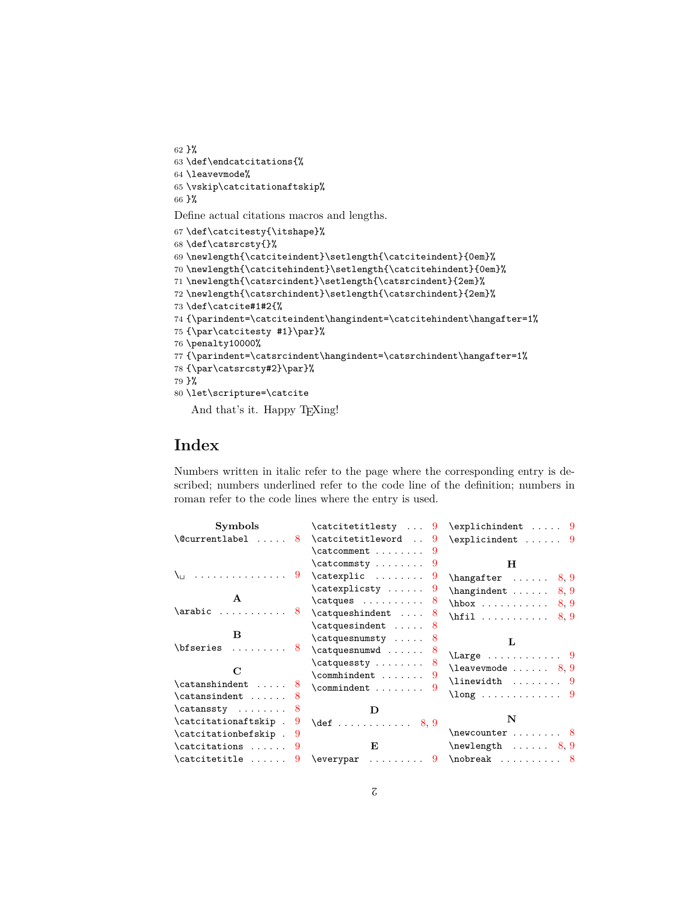```
62 }%
63 \def\endcatcitations{%
64 \leavevmode%
65 \vskip\catcitationaftskip%
66 }%
```
Define actual citations macros and lengths.

```
67 \def\catcitesty{\itshape}%
68 \def\catsrcsty{}%
69 \newlength{\catciteindent}\setlength{\catciteindent}{0em}%
70 \newlength{\catcitehindent}\setlength{\catcitehindent}{0em}%
71 \newlength{\catsrcindent}\setlength{\catsrcindent}{2em}%
72 \newlength{\catsrchindent}\setlength{\catsrchindent}{2em}%
73 \def\catcite#1#2{%
74 {\parindent=\catciteindent\hangindent=\catcitehindent\hangafter=1%
75 {\par\catcitesty #1}\par}%
76 \penalty10000%
77 {\parindent=\catsrcindent\hangindent=\catsrchindent\hangafter=1%
78 {\par\catsrcsty#2}\par}%
79 }%
80 \let\scripture=\catcite
   And that's it. Happy TEXing!
```
## **Index**

Numbers written in italic refer to the page where the corresponding entry is described; numbers underlined refer to the code line of the definition; numbers in roman refer to the code lines where the entry is used.

| Symbols                           | \catcitetitlesty                       | $\explichindent \ldots 9$                         |
|-----------------------------------|----------------------------------------|---------------------------------------------------|
| $\text{Currentlabel} \ldots 8$    | \catcitetitleword<br>9                 | $\explicindent \ldots 9$                          |
|                                   | $\text{Catcomment} \dots \dots 9$      |                                                   |
|                                   | $\catcommsty \ldots \ldots$<br>-9      | Н                                                 |
| $\setminus$ u  9                  | $\catexplic$<br>9                      | $\hbox{\scriptsize\textsf{hangafter}} \ldots 8,9$ |
|                                   | $\catexplits$<br>9                     | $\hbox{\tt{hangindent}} \ldots 8,9$               |
| $\mathbf{A}$                      | $\catques \dots \dots 8$               | $hbox \ldots \ldots \ldots \quad 8,9$             |
| $\arabic \dots \dots \dots 8$     | $\catqueshindent \dots 8$              | $\hbox{hfil}$<br>8.9                              |
|                                   | $\catquesindent$ 8                     |                                                   |
| в                                 | \catquesnumsty<br>8                    | T.                                                |
| $\bf{\text{b}f}$ 8                | \catquesnumwd<br>8                     | $\langle$ Large  9                                |
|                                   | $\catquessty \ldots 8$                 | $\lambda$ 3, 9                                    |
| C                                 | 9                                      | $\lambda$ inewidth  9                             |
| $\catanshindent$ 8                | $\mathrm{commandent} \dots \dots$<br>9 |                                                   |
| $\catansindent$ 8                 |                                        | $\lambda$ ong 9                                   |
| $\catanssty$ 8                    |                                        |                                                   |
| \catcitationaftskip .<br>9        |                                        | N                                                 |
| $\text{caticitation}$ befskip . 9 |                                        | $\neq 8$                                          |
| $\catcitations \dots 9$           | E                                      | $\neq 8, 9$                                       |
| $\catcitetitle \dots \dots$<br>9  | . 9<br>\everypar                       | $\nobreak$ 8                                      |
|                                   |                                        |                                                   |